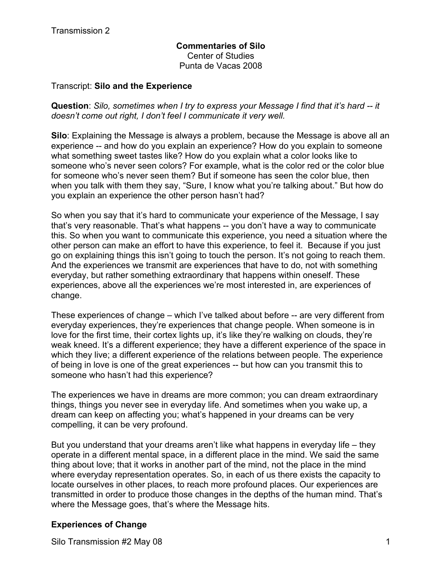# **Commentaries of Silo** Center of Studies Punta de Vacas 2008

# Transcript: **Silo and the Experience**

**Question**: *Silo, sometimes when I try to express your Message I find that it's hard -- it doesn't come out right, I don't feel I communicate it very well.* 

**Silo**: Explaining the Message is always a problem, because the Message is above all an experience -- and how do you explain an experience? How do you explain to someone what something sweet tastes like? How do you explain what a color looks like to someone who's never seen colors? For example, what is the color red or the color blue for someone who's never seen them? But if someone has seen the color blue, then when you talk with them they say, "Sure, I know what you're talking about." But how do you explain an experience the other person hasn't had?

So when you say that it's hard to communicate your experience of the Message, I say that's very reasonable. That's what happens -- you don't have a way to communicate this. So when you want to communicate this experience, you need a situation where the other person can make an effort to have this experience, to feel it. Because if you just go on explaining things this isn't going to touch the person. It's not going to reach them. And the experiences we transmit are experiences that have to do, not with something everyday, but rather something extraordinary that happens within oneself. These experiences, above all the experiences we're most interested in, are experiences of change.

These experiences of change – which I've talked about before -- are very different from everyday experiences, they're experiences that change people. When someone is in love for the first time, their cortex lights up, it's like they're walking on clouds, they're weak kneed. It's a different experience; they have a different experience of the space in which they live; a different experience of the relations between people. The experience of being in love is one of the great experiences -- but how can you transmit this to someone who hasn't had this experience?

The experiences we have in dreams are more common; you can dream extraordinary things, things you never see in everyday life. And sometimes when you wake up, a dream can keep on affecting you; what's happened in your dreams can be very compelling, it can be very profound.

But you understand that your dreams aren't like what happens in everyday life – they operate in a different mental space, in a different place in the mind. We said the same thing about love; that it works in another part of the mind, not the place in the mind where everyday representation operates. So, in each of us there exists the capacity to locate ourselves in other places, to reach more profound places. Our experiences are transmitted in order to produce those changes in the depths of the human mind. That's where the Message goes, that's where the Message hits.

# **Experiences of Change**

Silo Transmission #2 May 08 1 1 200 1 200 1 200 1 200 1 200 1 200 1 200 1 200 1 200 1 200 1 200 1 200 1 200 1 200 1 200 1 200 1 200 1 200 1 200 1 200 1 200 1 200 1 200 1 200 1 200 1 200 1 200 1 200 1 200 1 200 1 200 1 200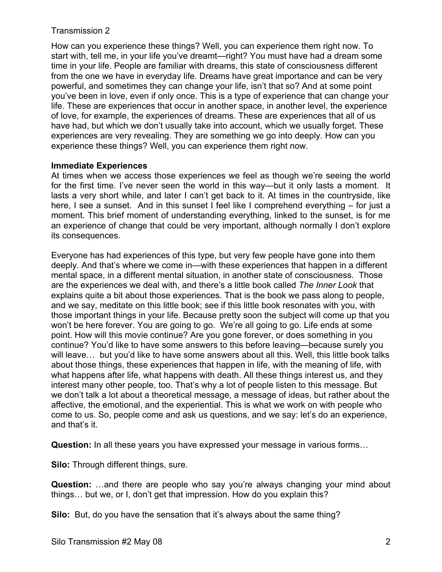How can you experience these things? Well, you can experience them right now. To start with, tell me, in your life you've dreamt—right? You must have had a dream some time in your life. People are familiar with dreams, this state of consciousness different from the one we have in everyday life. Dreams have great importance and can be very powerful, and sometimes they can change your life, isn't that so? And at some point you've been in love, even if only once. This is a type of experience that can change your life. These are experiences that occur in another space, in another level, the experience of love, for example, the experiences of dreams. These are experiences that all of us have had, but which we don't usually take into account, which we usually forget. These experiences are very revealing. They are something we go into deeply. How can you experience these things? Well, you can experience them right now.

# **Immediate Experiences**

At times when we access those experiences we feel as though we're seeing the world for the first time. I've never seen the world in this way—but it only lasts a moment. It lasts a very short while, and later I can't get back to it. At times in the countryside, like here, I see a sunset. And in this sunset I feel like I comprehend everything – for just a moment. This brief moment of understanding everything, linked to the sunset, is for me an experience of change that could be very important, although normally I don't explore its consequences.

Everyone has had experiences of this type, but very few people have gone into them deeply. And that's where we come in—with these experiences that happen in a different mental space, in a different mental situation, in another state of consciousness. Those are the experiences we deal with, and there's a little book called *The Inner Look* that explains quite a bit about those experiences. That is the book we pass along to people, and we say, meditate on this little book; see if this little book resonates with you, with those important things in your life. Because pretty soon the subject will come up that you won't be here forever. You are going to go. We're all going to go. Life ends at some point. How will this movie continue? Are you gone forever, or does something in you continue? You'd like to have some answers to this before leaving—because surely you will leave… but you'd like to have some answers about all this. Well, this little book talks about those things, these experiences that happen in life, with the meaning of life, with what happens after life, what happens with death. All these things interest us, and they interest many other people, too. That's why a lot of people listen to this message. But we don't talk a lot about a theoretical message, a message of ideas, but rather about the affective, the emotional, and the experiential. This is what we work on with people who come to us. So, people come and ask us questions, and we say: let's do an experience, and that's it.

**Question:** In all these years you have expressed your message in various forms…

**Silo:** Through different things, sure.

**Question:** …and there are people who say you're always changing your mind about things… but we, or I, don't get that impression. How do you explain this?

**Silo:** But, do you have the sensation that it's always about the same thing?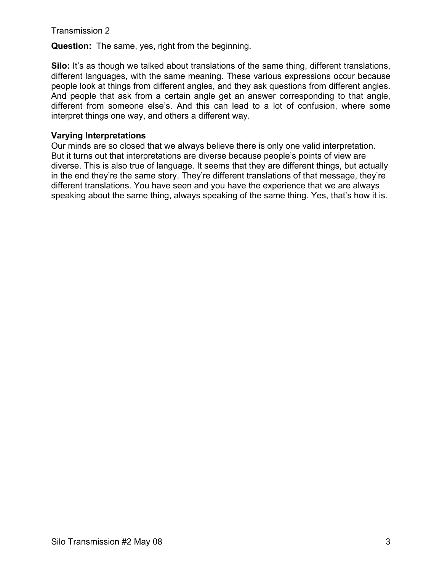**Question:** The same, yes, right from the beginning.

**Silo:** It's as though we talked about translations of the same thing, different translations, different languages, with the same meaning. These various expressions occur because people look at things from different angles, and they ask questions from different angles. And people that ask from a certain angle get an answer corresponding to that angle, different from someone else's. And this can lead to a lot of confusion, where some interpret things one way, and others a different way.

# **Varying Interpretations**

Our minds are so closed that we always believe there is only one valid interpretation. But it turns out that interpretations are diverse because people's points of view are diverse. This is also true of language. It seems that they are different things, but actually in the end they're the same story. They're different translations of that message, they're different translations. You have seen and you have the experience that we are always speaking about the same thing, always speaking of the same thing. Yes, that's how it is.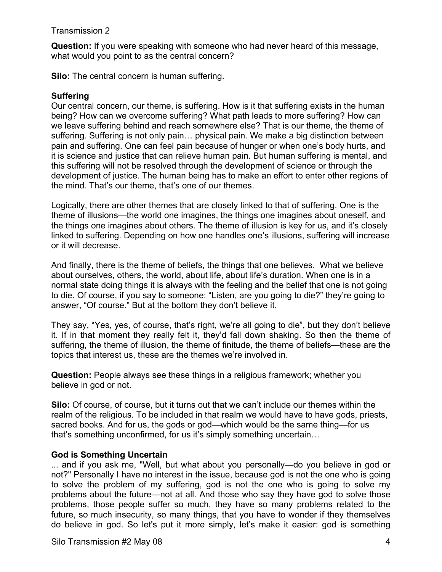**Question:** If you were speaking with someone who had never heard of this message, what would you point to as the central concern?

**Silo:** The central concern is human suffering.

#### **Suffering**

Our central concern, our theme, is suffering. How is it that suffering exists in the human being? How can we overcome suffering? What path leads to more suffering? How can we leave suffering behind and reach somewhere else? That is our theme, the theme of suffering. Suffering is not only pain… physical pain. We make a big distinction between pain and suffering. One can feel pain because of hunger or when one's body hurts, and it is science and justice that can relieve human pain. But human suffering is mental, and this suffering will not be resolved through the development of science or through the development of justice. The human being has to make an effort to enter other regions of the mind. That's our theme, that's one of our themes.

Logically, there are other themes that are closely linked to that of suffering. One is the theme of illusions—the world one imagines, the things one imagines about oneself, and the things one imagines about others. The theme of illusion is key for us, and it's closely linked to suffering. Depending on how one handles one's illusions, suffering will increase or it will decrease.

And finally, there is the theme of beliefs, the things that one believes. What we believe about ourselves, others, the world, about life, about life's duration. When one is in a normal state doing things it is always with the feeling and the belief that one is not going to die. Of course, if you say to someone: "Listen, are you going to die?" they're going to answer, "Of course." But at the bottom they don't believe it.

They say, "Yes, yes, of course, that's right, we're all going to die", but they don't believe it. If in that moment they really felt it, they'd fall down shaking. So then the theme of suffering, the theme of illusion, the theme of finitude, the theme of beliefs—these are the topics that interest us, these are the themes we're involved in.

**Question:** People always see these things in a religious framework; whether you believe in god or not.

**Silo:** Of course, of course, but it turns out that we can't include our themes within the realm of the religious. To be included in that realm we would have to have gods, priests, sacred books. And for us, the gods or god—which would be the same thing—for us that's something unconfirmed, for us it's simply something uncertain…

# **God is Something Uncertain**

... and if you ask me, "Well, but what about you personally—do you believe in god or not?" Personally I have no interest in the issue, because god is not the one who is going to solve the problem of my suffering, god is not the one who is going to solve my problems about the future—not at all. And those who say they have god to solve those problems, those people suffer so much, they have so many problems related to the future, so much insecurity, so many things, that you have to wonder if they themselves do believe in god. So let's put it more simply, let's make it easier: god is something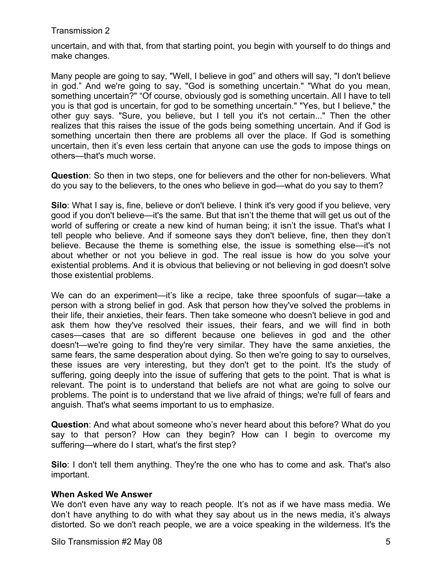uncertain, and with that, from that starting point, you begin with yourself to do things and make changes.

Many people are going to say, "Well, I believe in god" and others will say, "I don't believe in god." And we're going to say, "God is something uncertain." "What do you mean, something uncertain?" "Of course, obviously god is something uncertain. All I have to tell you is that god is uncertain, for god to be something uncertain." "Yes, but I believe," the other guy says. "Sure, you believe, but I tell you it's not certain..." Then the other realizes that this raises the issue of the gods being something uncertain. And if God is something uncertain then there are problems all over the place. If God is something uncertain, then it's even less certain that anyone can use the gods to impose things on others—that's much worse.

**Question**: So then in two steps, one for believers and the other for non-believers. What do you say to the believers, to the ones who believe in god—what do you say to them?

**Silo**: What I say is, fine, believe or don't believe. I think it's very good if you believe, very good if you don't believe—it's the same. But that isn't the theme that will get us out of the world of suffering or create a new kind of human being; it isn't the issue. That's what I tell people who believe. And if someone says they don't believe, fine, then they don't believe. Because the theme is something else, the issue is something else—it's not about whether or not you believe in god. The real issue is how do you solve your existential problems. And it is obvious that believing or not believing in god doesn't solve those existential problems.

We can do an experiment—it's like a recipe, take three spoonfuls of sugar—take a person with a strong belief in god. Ask that person how they've solved the problems in their life, their anxieties, their fears. Then take someone who doesn't believe in god and ask them how they've resolved their issues, their fears, and we will find in both cases—cases that are so different because one believes in god and the other doesn't—we're going to find they're very similar. They have the same anxieties, the same fears, the same desperation about dying. So then we're going to say to ourselves, these issues are very interesting, but they don't get to the point. It's the study of suffering, going deeply into the issue of suffering that gets to the point. That is what is relevant. The point is to understand that beliefs are not what are going to solve our problems. The point is to understand that we live afraid of things; we're full of fears and anguish. That's what seems important to us to emphasize.

**Question**: And what about someone who's never heard about this before? What do you say to that person? How can they begin? How can I begin to overcome my suffering—where do I start, what's the first step?

**Silo**: I don't tell them anything. They're the one who has to come and ask. That's also important.

# **When Asked We Answer**

We don't even have any way to reach people. It's not as if we have mass media. We don't have anything to do with what they say about us in the news media, it's always distorted. So we don't reach people, we are a voice speaking in the wilderness. It's the